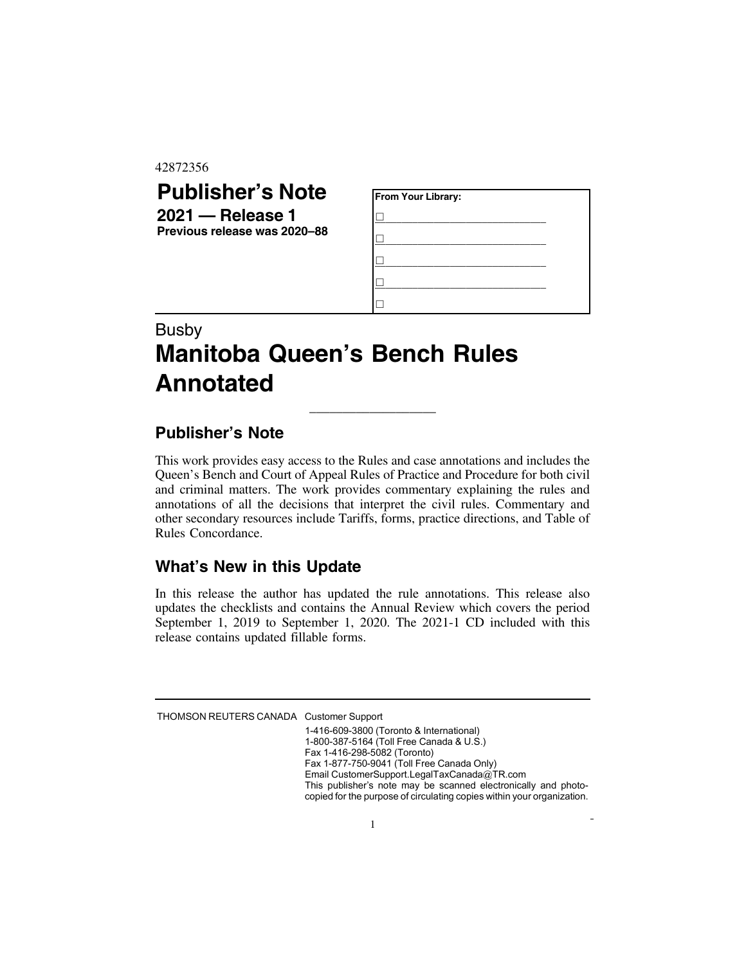#### 42872356

## **Publisher's Note 2021 — Release 1**

**Previous release was 2020–88**

| From Your Library: |  |  |  |
|--------------------|--|--|--|
|                    |  |  |  |
|                    |  |  |  |
|                    |  |  |  |
|                    |  |  |  |
|                    |  |  |  |

# Busby **Manitoba Queen's Bench Rules Annotated**

### **Publisher's Note**

This work provides easy access to the Rules and case annotations and includes the Queen's Bench and Court of Appeal Rules of Practice and Procedure for both civil and criminal matters. The work provides commentary explaining the rules and annotations of all the decisions that interpret the civil rules. Commentary and other secondary resources include Tariffs, forms, practice directions, and Table of Rules Concordance.

\_\_\_\_\_\_\_\_\_\_\_\_\_\_\_\_\_\_\_

### **What's New in this Update**

In this release the author has updated the rule annotations. This release also updates the checklists and contains the Annual Review which covers the period September 1, 2019 to September 1, 2020. The 2021-1 CD included with this release contains updated fillable forms.

THOMSON REUTERS CANADA Customer Support

1-416-609-3800 (Toronto & International) 1-800-387-5164 (Toll Free Canada & U.S.) Fax 1-416-298-5082 (Toronto) Fax 1-877-750-9041 (Toll Free Canada Only) Email CustomerSupport.LegalTaxCanada@TR.com This publisher's note may be scanned electronically and photocopied for the purpose of circulating copies within your organization.